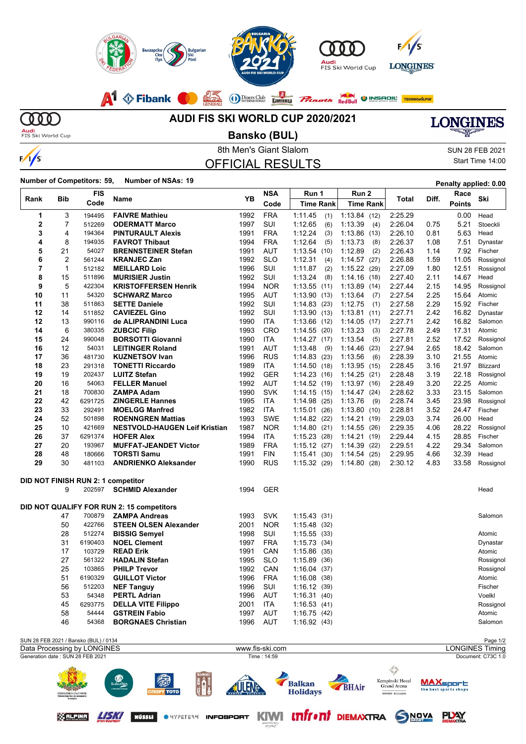

**MD Audi**<br>FIS Ski World Cup

 $\frac{1}{s}$ 

## **AUDI FIS SKI WORLD CUP 2020/2021**

**Bansko (BUL)**



8th Men's Giant Slalom Sun 28 FEB 2021 OFFICIAL RESULTS

Start Time 14:00

**Number of Competitors: 59, Number of NSAs: <sup>19</sup> Penalty applied: 0.00**

| Rank                                                                     | Bib                                   | <b>FIS</b> | Name                                      | <b>YB</b> | <b>NSA</b> | Run 1              | Run 2            | Total           | Diff. | Race                                      | Ski       |
|--------------------------------------------------------------------------|---------------------------------------|------------|-------------------------------------------|-----------|------------|--------------------|------------------|-----------------|-------|-------------------------------------------|-----------|
|                                                                          |                                       | Code       |                                           |           | Code       | <b>Time Rank</b>   | <b>Time Rank</b> |                 |       | <b>Points</b>                             |           |
| 1                                                                        | 3                                     | 194495     | <b>FAIVRE Mathieu</b>                     | 1992      | <b>FRA</b> | 1:11.45<br>(1)     | 1:13.84(12)      | 2:25.29         |       | 0.00                                      | Head      |
| $\mathbf{2}$                                                             | 7                                     | 512269     | <b>ODERMATT Marco</b>                     | 1997      | SUI        | 1:12.65<br>(6)     | 1:13.39<br>(4)   | 2:26.04         | 0.75  | 5.21                                      | Stoeckli  |
| 3                                                                        | 4                                     | 194364     | <b>PINTURAULT Alexis</b>                  | 1991      | <b>FRA</b> | 1:12.24<br>(3)     | 1:13.86(13)      | 2:26.10         | 0.81  | 5.63                                      | Head      |
| 4                                                                        | 8                                     | 194935     | <b>FAVROT Thibaut</b>                     | 1994      | <b>FRA</b> | 1:12.64<br>(5)     | 1:13.73<br>(8)   | 2:26.37         | 1.08  | 7.51                                      | Dynastar  |
| 5                                                                        | 21                                    | 54027      | <b>BRENNSTEINER Stefan</b>                | 1991      | AUT        | 1:13.54(10)        | 1:12.89<br>(2)   | 2:26.43         | 1.14  | 7.92                                      | Fischer   |
| 6                                                                        | $\overline{2}$                        | 561244     | <b>KRANJEC Zan</b>                        | 1992      | <b>SLO</b> | 1:12.31<br>(4)     | 1:14.57(27)      | 2:26.88         | 1.59  | 11.05                                     | Rossignol |
| 7                                                                        | $\mathbf{1}$                          | 512182     | <b>MEILLARD Loic</b>                      | 1996      | SUI        | 1:11.87<br>(2)     | 1:15.22(29)      | 2:27.09         | 1.80  | 12.51                                     | Rossignol |
| 8                                                                        | 15                                    | 511896     | <b>MURISIER Justin</b>                    | 1992      | SUI        | 1:13.24<br>(8)     | 1:14.16(18)      | 2:27.40         | 2.11  | 14.67                                     | Head      |
| 9                                                                        | 5                                     | 422304     | <b>KRISTOFFERSEN Henrik</b>               | 1994      | <b>NOR</b> | 1:13.55(11)        | 1:13.89(14)      | 2:27.44         | 2.15  | 14.95                                     | Rossignol |
| 10                                                                       | 11                                    | 54320      | <b>SCHWARZ Marco</b>                      | 1995      | AUT        | 1:13.90(13)        | 1.13.64<br>(7)   | 2:27.54         | 2.25  | 15.64                                     | Atomic    |
| 11                                                                       | 38                                    | 511863     | <b>SETTE Daniele</b>                      | 1992      | SUI        | 1:14.83(23)        | 1:12.75<br>(1)   | 2:27.58         | 2.29  | 15.92                                     | Fischer   |
| 12                                                                       | 14                                    | 511852     | <b>CAVIEZEL Gino</b>                      | 1992      | SUI        | 1:13.90(13)        | 1:13.81(11)      | 2:27.71         | 2.42  | 16.82                                     | Dynastar  |
| 12                                                                       | 13                                    | 990116     | de ALIPRANDINI Luca                       | 1990      | <b>ITA</b> | 1:13.66(12)        | 1:14.05(17)      | 2:27.71         | 2.42  | 16.82                                     | Salomon   |
| 14                                                                       | 6                                     | 380335     | <b>ZUBCIC Filip</b>                       | 1993      | CRO        | 1:14.55(20)        | 1:13.23<br>(3)   | 2:27.78         | 2.49  | 17.31                                     | Atomic    |
| 15                                                                       | 24                                    | 990048     | <b>BORSOTTI Giovanni</b>                  | 1990      | <b>ITA</b> | 1:14.27(17)        | 1:13.54<br>(5)   | 2:27.81         | 2.52  | 17.52                                     | Rossignol |
| 16                                                                       | 12                                    | 54031      | <b>LEITINGER Roland</b>                   | 1991      | <b>AUT</b> | 1:13.48<br>(9)     | 1:14.46<br>(23)  | 2:27.94         | 2.65  | 18.42                                     | Salomon   |
| 17                                                                       | 36                                    | 481730     | <b>KUZNETSOV Ivan</b>                     | 1996      | <b>RUS</b> | 1:14.83(23)        | 1:13.56<br>(6)   | 2:28.39         | 3.10  | 21.55                                     | Atomic    |
| 18                                                                       | 23                                    | 291318     | <b>TONETTI Riccardo</b>                   | 1989      | <b>ITA</b> | 1:14.50(18)        | 1:13.95<br>(15)  | 2:28.45         | 3.16  | 21.97                                     | Blizzard  |
| 19                                                                       | 19                                    | 202437     | <b>LUITZ Stefan</b>                       | 1992      | <b>GER</b> | 1:14.23(16)        | 1:14.25(21)      | 2:28.48         | 3.19  | 22.18                                     | Rossignol |
| 20                                                                       | 16                                    | 54063      | <b>FELLER Manuel</b>                      | 1992      | AUT        | 1:14.52(19)        | 1:13.97(16)      | 2:28.49         | 3.20  | 22.25                                     | Atomic    |
| 21                                                                       | 18                                    | 700830     | <b>ZAMPA Adam</b>                         | 1990      | <b>SVK</b> | 1:14.15(15)        | 1:14.47(24)      | 2:28.62         | 3.33  | 23.15                                     | Salomon   |
| 22                                                                       | 42                                    | 6291725    | <b>ZINGERLE Hannes</b>                    | 1995      | <b>ITA</b> | 1:14.98(25)        | 1:13.76<br>(9)   | 2:28.74         | 3.45  | 23.98                                     | Rossignol |
| 23                                                                       | 33                                    | 292491     | <b>MOELGG Manfred</b>                     | 1982      | ITA        | 1:15.01(26)        | 1:13.80(10)      | 2:28.81         | 3.52  | 24.47                                     | Fischer   |
| 24                                                                       | 52                                    | 501898     | <b>ROENNGREN Mattias</b>                  | 1993      | <b>SWE</b> | 1:14.82(22)        | 1:14.21 (19)     | 2:29.03         | 3.74  | 26.00                                     | Head      |
| 25                                                                       | 10                                    | 421669     | <b>NESTVOLD-HAUGEN Leif Kristian</b>      | 1987      | <b>NOR</b> | 1:14.80(21)        | 1:14.55(26)      | 2:29.35         | 4.06  | 28.22                                     | Rossignol |
| 26                                                                       | 37                                    | 6291374    | <b>HOFER Alex</b>                         | 1994      | ITA        | 1:15.23(28)        | 1:14.21<br>(19)  | 2:29.44         | 4.15  | 28.85                                     | Fischer   |
| 27                                                                       | 20                                    | 193967     | <b>MUFFAT-JEANDET Victor</b>              | 1989      | <b>FRA</b> | 1:15.12(27)        | 1:14.39<br>(22)  | 2:29.51         | 4.22  | 29.34                                     | Salomon   |
| 28                                                                       | 48                                    | 180666     | <b>TORSTI Samu</b>                        | 1991      | <b>FIN</b> | 1:15.41<br>(30)    | 1:14.54(25)      | 2:29.95         | 4.66  | 32.39                                     | Head      |
| 29                                                                       | 30                                    | 481103     | <b>ANDRIENKO Aleksander</b>               | 1990      | <b>RUS</b> | 1:15.32(29)        | 1.14.80(28)      | 2:30.12         | 4.83  | 33.58                                     | Rossignol |
|                                                                          |                                       |            | DID NOT FINISH RUN 2: 1 competitor        |           |            |                    |                  |                 |       |                                           |           |
|                                                                          | 9                                     | 202597     | <b>SCHMID Alexander</b>                   | 1994      | <b>GER</b> |                    |                  |                 |       |                                           | Head      |
|                                                                          |                                       |            |                                           |           |            |                    |                  |                 |       |                                           |           |
|                                                                          |                                       |            | DID NOT QUALIFY FOR RUN 2: 15 competitors |           |            |                    |                  |                 |       |                                           |           |
|                                                                          | 47                                    | 700879     | <b>ZAMPA Andreas</b>                      | 1993      | <b>SVK</b> | 1:15.43(31)        |                  |                 |       |                                           | Salomon   |
|                                                                          | 50                                    | 422766     | <b>STEEN OLSEN Alexander</b>              | 2001      | <b>NOR</b> | 1:15.48(32)        |                  |                 |       |                                           |           |
|                                                                          | 28                                    | 512274     | <b>BISSIG Semyel</b>                      | 1998      | SUI        | 1:15.55(33)        |                  |                 |       |                                           | Atomic    |
|                                                                          | 31                                    | 6190403    | <b>NOEL Clement</b>                       | 1997      | <b>FRA</b> | 1:15.73(34)        |                  |                 |       |                                           | Dynastar  |
|                                                                          | 17                                    | 103729     | <b>READ Erik</b>                          | 1991      | CAN        | 1:15.86(35)        |                  |                 |       |                                           | Atomic    |
|                                                                          | 27                                    | 561322     | <b>HADALIN Stefan</b>                     | 1995      | <b>SLO</b> | 1:15.89(36)        |                  |                 |       |                                           | Rossignol |
|                                                                          | 25                                    | 103865     | <b>PHILP Trevor</b>                       | 1992      | CAN        | 1:16.04(37)        |                  |                 |       |                                           | Rossignol |
|                                                                          | 51                                    | 6190329    | <b>GUILLOT Victor</b>                     | 1996      | <b>FRA</b> | 1:16.08(38)        |                  |                 |       |                                           | Atomic    |
|                                                                          | 56                                    | 512203     | <b>NEF Tanguy</b>                         | 1996      | SUI        | 1:16.12 (39)       |                  |                 |       |                                           | Fischer   |
|                                                                          | 53                                    | 54348      | <b>PERTL Adrian</b>                       | 1996      | AUT        | 1:16.31(40)        |                  |                 |       |                                           | Voelkl    |
|                                                                          | 45                                    | 6293775    | <b>DELLA VITE Filippo</b>                 | 2001      | <b>ITA</b> | 1:16.53(41)        |                  |                 |       |                                           | Rossignol |
|                                                                          | 58                                    | 54444      | <b>GSTREIN Fabio</b>                      | 1997      | <b>AUT</b> | 1:16.75(42)        |                  |                 |       |                                           | Atomic    |
|                                                                          | 46                                    | 54368      | <b>BORGNAES Christian</b>                 | 1996      | AUT        | 1:16.92(43)        |                  |                 |       |                                           | Salomon   |
|                                                                          | SUN 28 FEB 2021 / Bansko (BUL) / 0134 |            |                                           |           |            |                    |                  |                 |       | Page 1/2                                  |           |
| Data Processing by LONGINES<br><b>LONGINES Timing</b><br>www.fis-ski.com |                                       |            |                                           |           |            |                    |                  |                 |       |                                           |           |
| Generation date: SUN 28 FEB 2021<br>Time: 14:59                          |                                       |            |                                           |           |            | Document: C73C 1.0 |                  |                 |       |                                           |           |
|                                                                          |                                       |            |                                           |           |            |                    |                  |                 |       |                                           |           |
|                                                                          |                                       |            |                                           |           |            |                    |                  | Kempinski Hotel |       |                                           |           |
|                                                                          |                                       |            |                                           |           |            | <b>Balkan</b>      | <b>BHAir</b>     | Grand Arena     |       | <b>MAX</b> sport<br>the best sports shops |           |
|                                                                          | РЕПУБЛИКА БЪЛГАРИЯ                    |            | спорт тото                                |           |            | <b>Holidays</b>    |                  | BANSKO BULGARIA |       |                                           |           |

**MALPINE 45X7 NUSSLI # HYPETEAM INFOSPORT** 

KIWI **Infront** DIEMAXTRA SNOVA PLAY